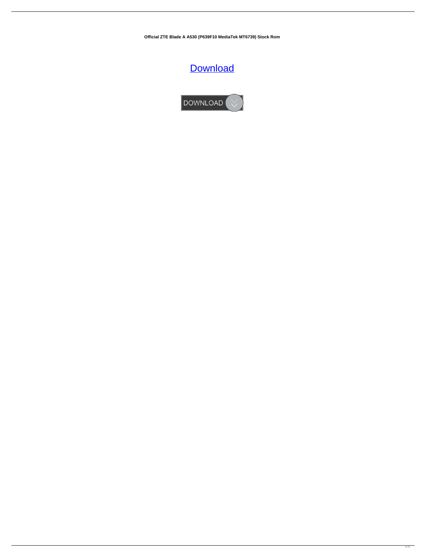**Official ZTE Blade A A530 (P639F10 MediaTek MT6739) Stock Rom**

## **[Download](http://evacdir.com/ZG93bmxvYWR8dzN4TW05d2JYeDhNVFkxTWpRMk16QTFNSHg4TWpVM05IeDhLRTBwSUhKbFlXUXRZbXh2WnlCYlJtRnpkQ0JIUlU1ZA/facets/coping/T2ZmaWNpYWwgWlRFIEJsYWRlIEEgQTUzMCAoUDYzOUYxMCBNZWRpYVRlayBNVDY3MzkpIFN0b2NrIFJvbQT2Z.hefeweissbier=mortgage=ortie=passport)**

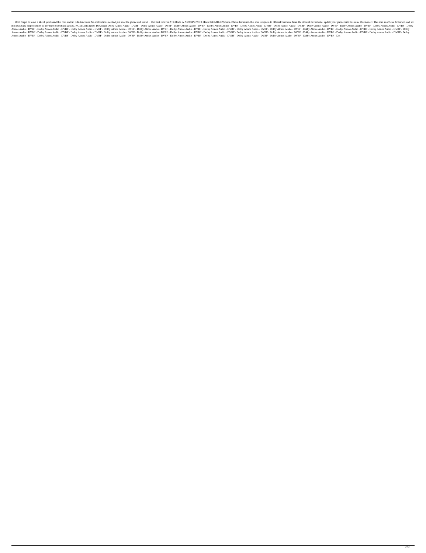. Dont forget to leave a like if you found this rom useful! :) Instructions: No instructions: No instructions needed just root the phone and install. The best rom for ZTE Blade A A530 (P639F10 MediaTek MT6739) with officia don't take any responsibility to any type of problem caused. ROM Links ROM Download Dolby Atmos Audio - DVBF - Dolby Atmos Audio - DVBF - Dolby Atmos Audio - DVBF - Dolby Atmos Audio - DVBF - Dolby Atmos Audio - DVBF - Dol Atmos Audio - DVBF - Dolby Atmos Audio - DVBF - Dolby Atmos Audio - DVBF - Dolby Atmos Audio - DVBF - Dolby Atmos Audio - DVBF - Dolby Atmos Audio - DVBF - Dolby Atmos Audio - DVBF - Dolby Atmos Audio - DVBF - Dolby Atmos Atmos Audio - DVBF - Dolby Atmos Audio - DVBF - Dolby Atmos Audio - DVBF - Dolby Atmos Audio - DVBF - Dolby Atmos Audio - DVBF - Dolby Atmos Audio - DVBF - Dolby Atmos Audio - DVBF - Dolby Atmos Audio - DVBF - Dolby Atmos Atmos Audio - DVBF - Dolby Atmos Audio - DVBF - Dolby Atmos Audio - DVBF - Dolby Atmos Audio - DVBF - Dolby Atmos Audio - DVBF - Dolby Atmos Audio - DVBF - Dolby Atmos Audio - DVBF - Dolby Atmos Audio - DVBF - Dolby Atmos